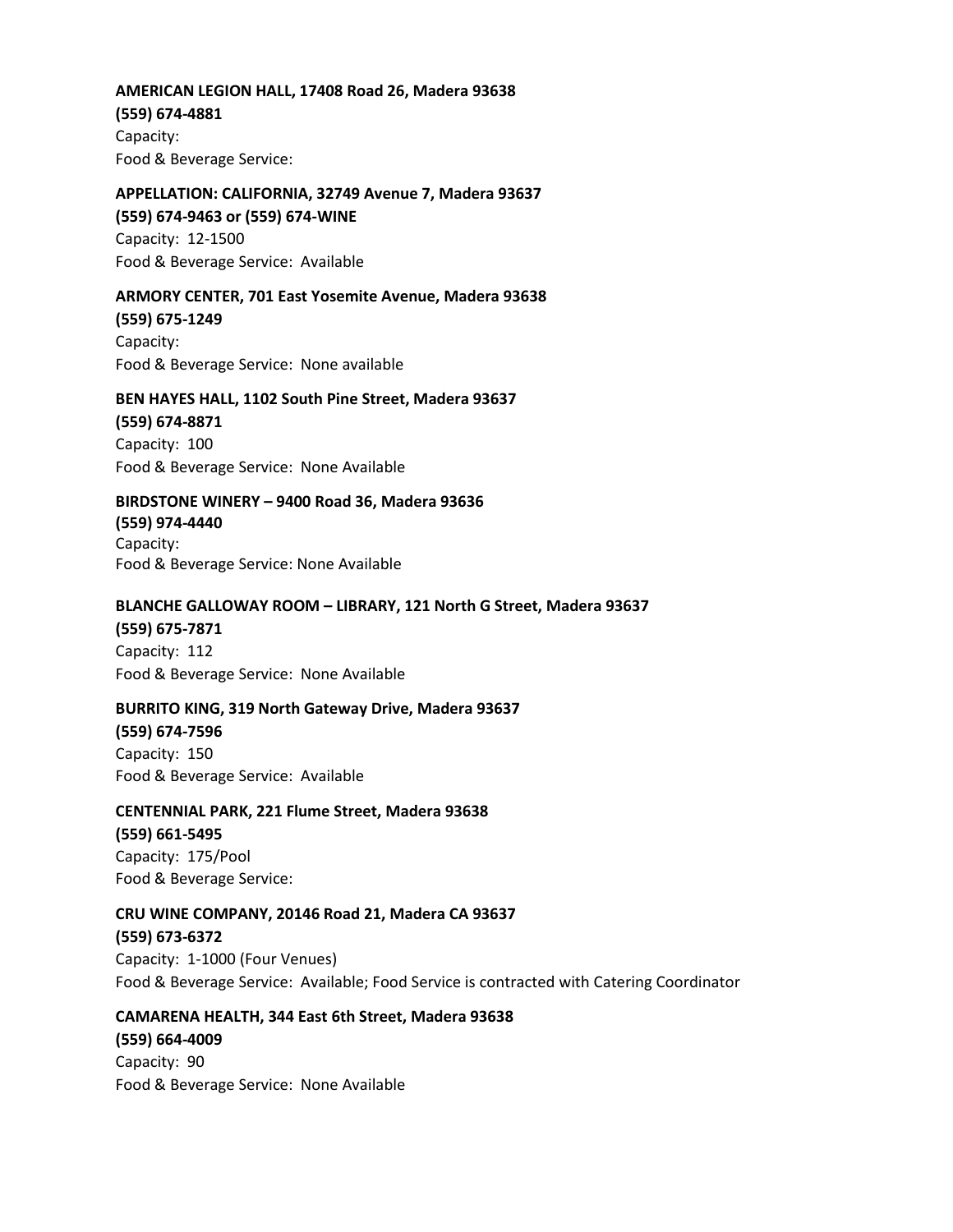### **AMERICAN LEGION HALL, 17408 Road 26, Madera 93638**

#### **(559) 674-4881**

Capacity: Food & Beverage Service:

# **APPELLATION: CALIFORNIA, 32749 Avenue 7, Madera 93637**

**(559) 674-9463 or (559) 674-WINE** Capacity: 12-1500 Food & Beverage Service: Available

## **ARMORY CENTER, 701 East Yosemite Avenue, Madera 93638**

**(559) 675-1249** Capacity: Food & Beverage Service: None available

## **BEN HAYES HALL, 1102 South Pine Street, Madera 93637**

# **(559) 674-8871**

Capacity: 100 Food & Beverage Service: None Available

## **BIRDSTONE WINERY – 9400 Road 36, Madera 93636**

**(559) 974-4440** Capacity: Food & Beverage Service: None Available

## **BLANCHE GALLOWAY ROOM – LIBRARY, 121 North G Street, Madera 93637**

## **(559) 675-7871**

Capacity: 112 Food & Beverage Service: None Available

## **BURRITO KING, 319 North Gateway Drive, Madera 93637**

**(559) 674-7596** Capacity: 150 Food & Beverage Service: Available

## **CENTENNIAL PARK, 221 Flume Street, Madera 93638**

## **(559) 661-5495** Capacity: 175/Pool

Food & Beverage Service:

## **CRU WINE COMPANY, 20146 Road 21, Madera CA 93637**

## **(559) 673-6372**

Capacity: 1-1000 (Four Venues) Food & Beverage Service: Available; Food Service is contracted with Catering Coordinator

# **CAMARENA HEALTH, 344 East 6th Street, Madera 93638**

**(559) 664-4009** Capacity: 90 Food & Beverage Service: None Available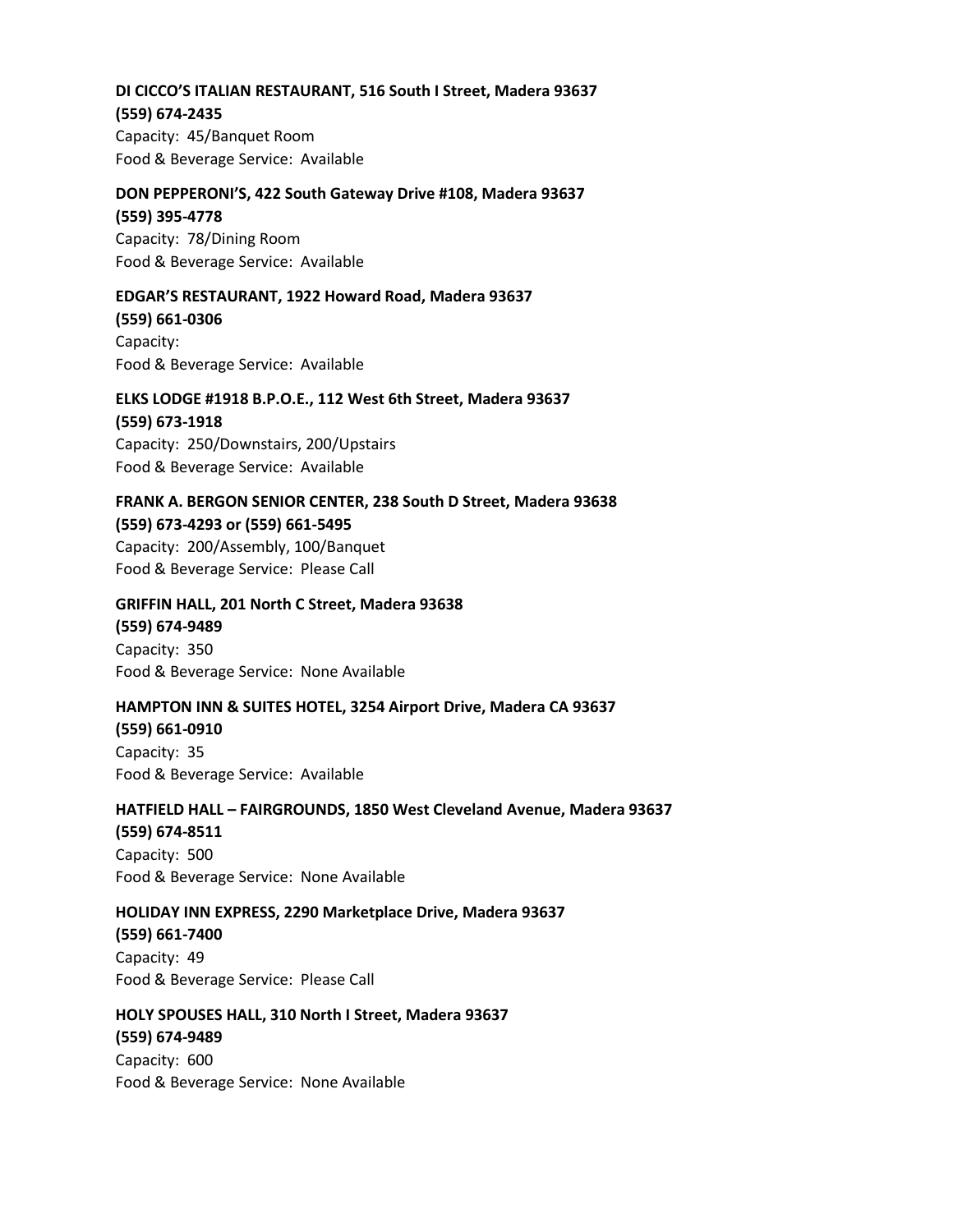# **DI CICCO'S ITALIAN RESTAURANT, 516 South I Street, Madera 93637**

## **(559) 674-2435**

Capacity: 45/Banquet Room Food & Beverage Service: Available

## **DON PEPPERONI'S, 422 South Gateway Drive #108, Madera 93637**

**(559) 395-4778** Capacity: 78/Dining Room Food & Beverage Service: Available

## **EDGAR'S RESTAURANT, 1922 Howard Road, Madera 93637**

**(559) 661-0306** Capacity: Food & Beverage Service: Available

# **ELKS LODGE #1918 B.P.O.E., 112 West 6th Street, Madera 93637 (559) 673-1918**

Capacity: 250/Downstairs, 200/Upstairs Food & Beverage Service: Available

# **FRANK A. BERGON SENIOR CENTER, 238 South D Street, Madera 93638 (559) 673-4293 or (559) 661-5495**

Capacity: 200/Assembly, 100/Banquet Food & Beverage Service: Please Call

## **GRIFFIN HALL, 201 North C Street, Madera 93638 (559) 674-9489** Capacity: 350 Food & Beverage Service: None Available

## **HAMPTON INN & SUITES HOTEL, 3254 Airport Drive, Madera CA 93637**

**(559) 661-0910** Capacity: 35 Food & Beverage Service: Available

## **HATFIELD HALL – FAIRGROUNDS, 1850 West Cleveland Avenue, Madera 93637**

**(559) 674-8511** Capacity: 500 Food & Beverage Service: None Available

## **HOLIDAY INN EXPRESS, 2290 Marketplace Drive, Madera 93637**

**(559) 661-7400** Capacity: 49 Food & Beverage Service: Please Call

**HOLY SPOUSES HALL, 310 North I Street, Madera 93637 (559) 674-9489** Capacity: 600 Food & Beverage Service: None Available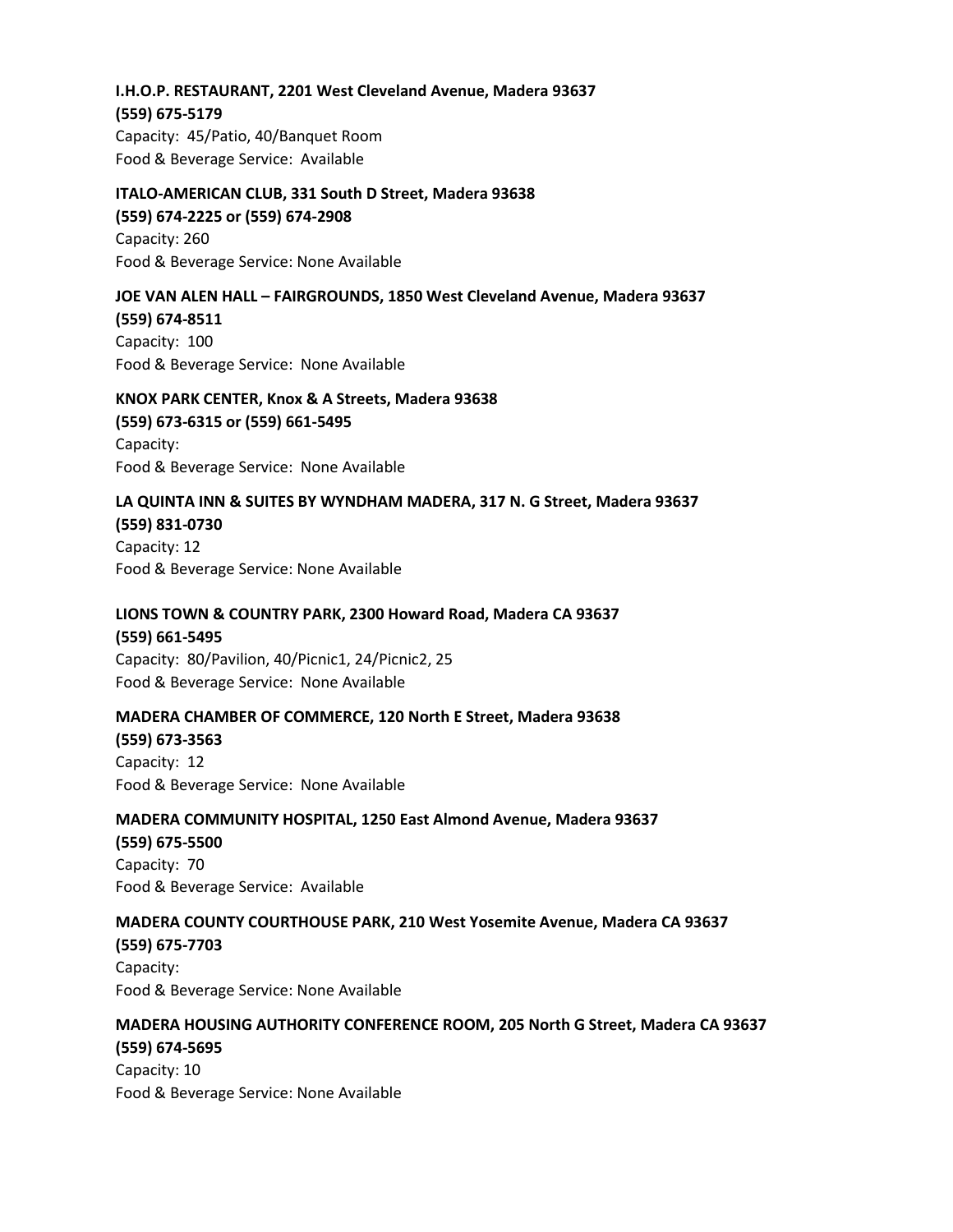# **I.H.O.P. RESTAURANT, 2201 West Cleveland Avenue, Madera 93637 (559) 675-5179**

Capacity: 45/Patio, 40/Banquet Room Food & Beverage Service: Available

# **ITALO-AMERICAN CLUB, 331 South D Street, Madera 93638 (559) 674-2225 or (559) 674-2908** Capacity: 260 Food & Beverage Service: None Available

## **JOE VAN ALEN HALL – FAIRGROUNDS, 1850 West Cleveland Avenue, Madera 93637**

**(559) 674-8511** Capacity: 100 Food & Beverage Service: None Available

# **KNOX PARK CENTER, Knox & A Streets, Madera 93638**

**(559) 673-6315 or (559) 661-5495** Capacity: Food & Beverage Service: None Available

## **LA QUINTA INN & SUITES BY WYNDHAM MADERA, 317 N. G Street, Madera 93637 (559) 831-0730**

Capacity: 12 Food & Beverage Service: None Available

## **LIONS TOWN & COUNTRY PARK, 2300 Howard Road, Madera CA 93637**

**(559) 661-5495** Capacity: 80/Pavilion, 40/Picnic1, 24/Picnic2, 25 Food & Beverage Service: None Available

## **MADERA CHAMBER OF COMMERCE, 120 North E Street, Madera 93638**

**(559) 673-3563** Capacity: 12 Food & Beverage Service: None Available

## **MADERA COMMUNITY HOSPITAL, 1250 East Almond Avenue, Madera 93637**

**(559) 675-5500** Capacity: 70 Food & Beverage Service: Available

## **MADERA COUNTY COURTHOUSE PARK, 210 West Yosemite Avenue, Madera CA 93637**

**(559) 675-7703** Capacity: Food & Beverage Service: None Available

## **MADERA HOUSING AUTHORITY CONFERENCE ROOM, 205 North G Street, Madera CA 93637**

**(559) 674-5695** Capacity: 10 Food & Beverage Service: None Available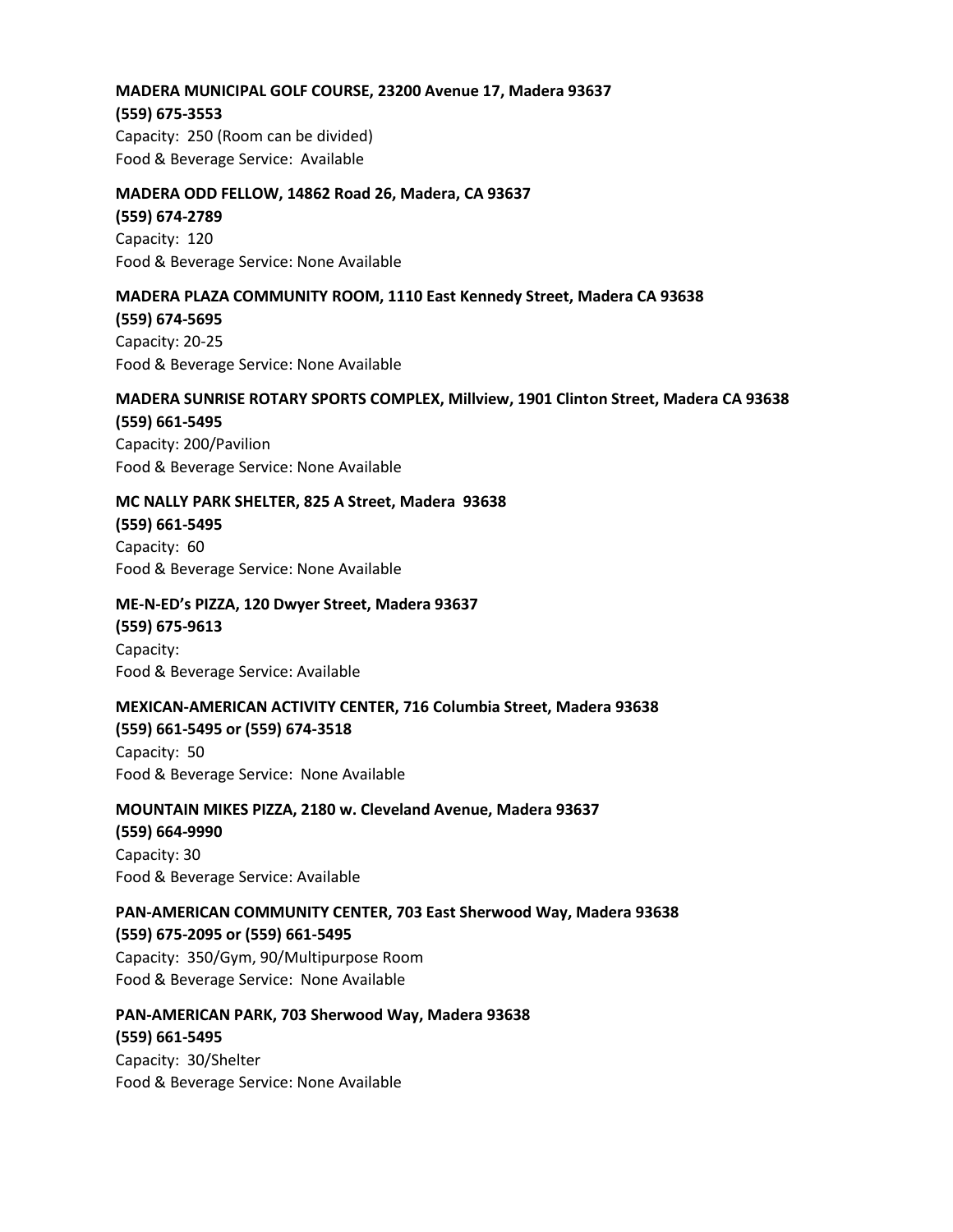## **MADERA MUNICIPAL GOLF COURSE, 23200 Avenue 17, Madera 93637**

**(559) 675-3553** Capacity: 250 (Room can be divided) Food & Beverage Service: Available

## **MADERA ODD FELLOW, 14862 Road 26, Madera, CA 93637**

**(559) 674-2789** Capacity: 120 Food & Beverage Service: None Available

## **MADERA PLAZA COMMUNITY ROOM, 1110 East Kennedy Street, Madera CA 93638**

**(559) 674-5695** Capacity: 20-25 Food & Beverage Service: None Available

## **MADERA SUNRISE ROTARY SPORTS COMPLEX, Millview, 1901 Clinton Street, Madera CA 93638**

**(559) 661-5495** Capacity: 200/Pavilion Food & Beverage Service: None Available

## **MC NALLY PARK SHELTER, 825 A Street, Madera 93638**

**(559) 661-5495** Capacity: 60 Food & Beverage Service: None Available

## **ME-N-ED's PIZZA, 120 Dwyer Street, Madera 93637**

**(559) 675-9613** Capacity: Food & Beverage Service: Available

## **MEXICAN-AMERICAN ACTIVITY CENTER, 716 Columbia Street, Madera 93638**

**(559) 661-5495 or (559) 674-3518** Capacity: 50 Food & Beverage Service: None Available

**MOUNTAIN MIKES PIZZA, 2180 w. Cleveland Avenue, Madera 93637 (559) 664-9990** Capacity: 30 Food & Beverage Service: Available

**PAN-AMERICAN COMMUNITY CENTER, 703 East Sherwood Way, Madera 93638 (559) 675-2095 or (559) 661-5495** Capacity: 350/Gym, 90/Multipurpose Room Food & Beverage Service: None Available

**PAN-AMERICAN PARK, 703 Sherwood Way, Madera 93638 (559) 661-5495** Capacity: 30/Shelter Food & Beverage Service: None Available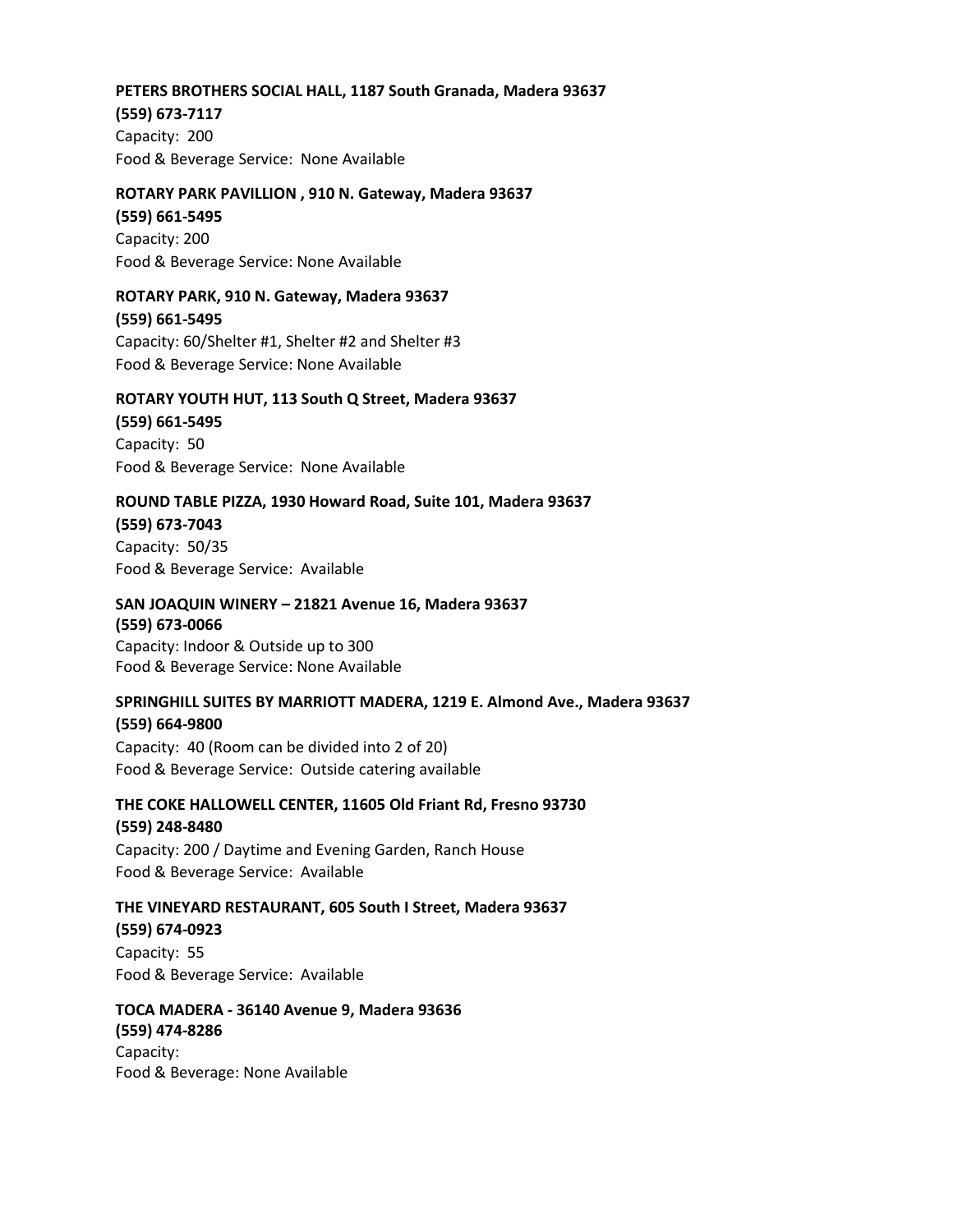## **PETERS BROTHERS SOCIAL HALL, 1187 South Granada, Madera 93637**

**(559) 673-7117**

Capacity: 200 Food & Beverage Service: None Available

## **ROTARY PARK PAVILLION , 910 N. Gateway, Madera 93637**

**(559) 661-5495** Capacity: 200 Food & Beverage Service: None Available

## **ROTARY PARK, 910 N. Gateway, Madera 93637**

**(559) 661-5495** Capacity: 60/Shelter #1, Shelter #2 and Shelter #3 Food & Beverage Service: None Available

## **ROTARY YOUTH HUT, 113 South Q Street, Madera 93637**

**(559) 661-5495**

Capacity: 50 Food & Beverage Service: None Available

## **ROUND TABLE PIZZA, 1930 Howard Road, Suite 101, Madera 93637**

**(559) 673-7043**

Capacity: 50/35 Food & Beverage Service: Available

## **SAN JOAQUIN WINERY – 21821 Avenue 16, Madera 93637**

**(559) 673-0066** Capacity: Indoor & Outside up to 300 Food & Beverage Service: None Available

## **SPRINGHILL SUITES BY MARRIOTT MADERA, 1219 E. Almond Ave., Madera 93637**

**(559) 664-9800** Capacity: 40 (Room can be divided into 2 of 20) Food & Beverage Service: Outside catering available

## **THE COKE HALLOWELL CENTER, 11605 Old Friant Rd, Fresno 93730**

**(559) 248-8480** Capacity: 200 / Daytime and Evening Garden, Ranch House Food & Beverage Service: Available

## **THE VINEYARD RESTAURANT, 605 South I Street, Madera 93637**

**(559) 674-0923** Capacity: 55 Food & Beverage Service: Available

**TOCA MADERA - 36140 Avenue 9, Madera 93636 (559) 474-8286** Capacity: Food & Beverage: None Available